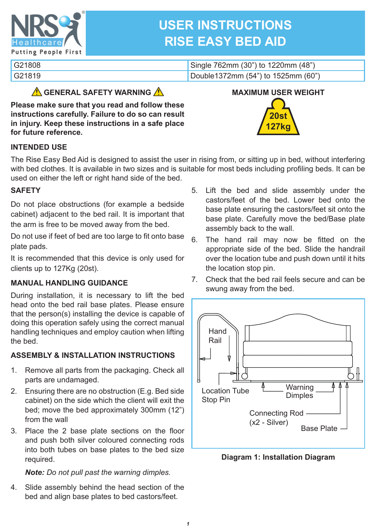

# **USER INSTRUCTIONS RISE EASY BED AID**

| G21808 | Single 762mm (30") to 1220mm (48") |
|--------|------------------------------------|
| G21819 | Double1372mm (54") to 1525mm (60") |

## **GENERAL SAFETY WARNING**

**Please make sure that you read and follow these instructions carefully. Failure to do so can result in injury. Keep these instructions in a safe place for future reference.**



## **INTENDED USE**

The Rise Easy Bed Aid is designed to assist the user in rising from, or sitting up in bed, without interfering with bed clothes. It is available in two sizes and is suitable for most beds including profiling beds. It can be used on either the left or right hand side of the bed.

## **SAFETY**

Do not place obstructions (for example a bedside cabinet) adjacent to the bed rail. It is important that the arm is free to be moved away from the bed.

Do not use if feet of bed are too large to fit onto base plate pads.

It is recommended that this device is only used for clients up to 127Kg (20st).

## **MANUAL HANDLING GUIDANCE**

During installation, it is necessary to lift the bed head onto the bed rail base plates. Please ensure that the person(s) installing the device is capable of doing this operation safely using the correct manual handling techniques and employ caution when lifting the bed.

## **ASSEMBLY & INSTALLATION INSTRUCTIONS**

- 1. Remove all parts from the packaging. Check all parts are undamaged.
- 2. Ensuring there are no obstruction (E.g. Bed side cabinet) on the side which the client will exit the bed; move the bed approximately 300mm (12") from the wall
- 3. Place the 2 base plate sections on the floor and push both silver coloured connecting rods into both tubes on base plates to the bed size required.

## *Note: Do not pull past the warning dimples.*

4. Slide assembly behind the head section of the bed and align base plates to bed castors/feet.

- 5. Lift the bed and slide assembly under the castors/feet of the bed. Lower bed onto the base plate ensuring the castors/feet sit onto the base plate. Carefully move the bed/Base plate assembly back to the wall.
- 6. The hand rail may now be fitted on the appropriate side of the bed. Slide the handrail over the location tube and push down until it hits the location stop pin.
- 7. Check that the bed rail feels secure and can be swung away from the bed.



**Diagram 1: Installation Diagram**